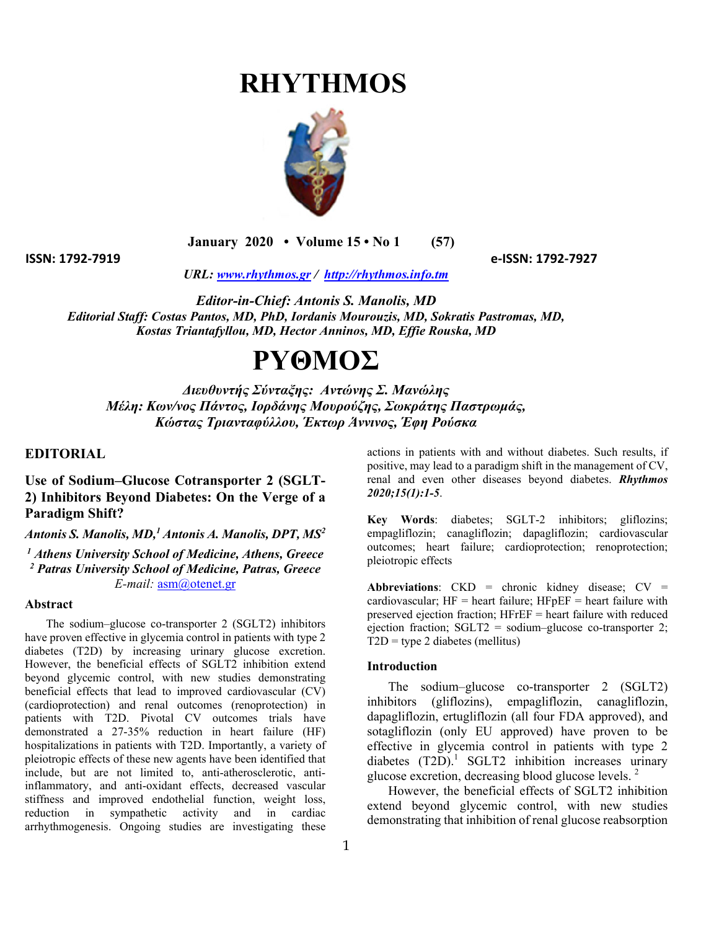# **RHYTHMOS**



 **January 2020 • Volume 15 • No 1 (57)** 

**ISSN: 1792‐7919 e‐ISSN: 1792‐7927**

*URL: www.rhythmos.gr / http://rhythmos.info.tm* 

*Editor-in-Chief: Antonis S. Manolis, MD Editorial Staff: Costas Pantos, MD, PhD, Iordanis Mourouzis, MD, Sokratis Pastromas, MD, Kostas Triantafyllou, MD, Hector Anninos, MD, Effie Rouska, MD* 

# **ΡΥΘΜΟΣ**

*Διευθυντής Σύνταξης: Αντώνης Σ. Μανώλης Μέλη: Κων/νος Πάντος, Ιορδάνης Μουρούζης, Σωκράτης Παστρωμάς, Κώστας Τριανταφύλλου, Έκτωρ Άννινος, Έφη Ρούσκα*

## **EDITORIAL**

**Use of Sodium–Glucose Cotransporter 2 (SGLT-2) Inhibitors Beyond Diabetes: On the Verge of a Paradigm Shift?** 

Antonis S. Manolis, MD,<sup>1</sup> Antonis A. Manolis, DPT, MS<sup>2</sup>

*1 Athens University School of Medicine, Athens, Greece 2 Patras University School of Medicine, Patras, Greece E-mail:* asm@otenet.gr

#### **Abstract**

The sodium–glucose co-transporter 2 (SGLT2) inhibitors have proven effective in glycemia control in patients with type 2 diabetes (T2D) by increasing urinary glucose excretion. However, the beneficial effects of SGLT2 inhibition extend beyond glycemic control, with new studies demonstrating beneficial effects that lead to improved cardiovascular (CV) (cardioprotection) and renal outcomes (renoprotection) in patients with T2D. Pivotal CV outcomes trials have demonstrated a 27-35% reduction in heart failure (HF) hospitalizations in patients with T2D. Importantly, a variety of pleiotropic effects of these new agents have been identified that include, but are not limited to, anti-atherosclerotic, antiinflammatory, and anti-oxidant effects, decreased vascular stiffness and improved endothelial function, weight loss, reduction in sympathetic activity and in cardiac arrhythmogenesis. Ongoing studies are investigating these

actions in patients with and without diabetes. Such results, if positive, may lead to a paradigm shift in the management of CV, renal and even other diseases beyond diabetes. *Rhythmos 2020;15(1):1-5*.

**Key Words**: diabetes; SGLT-2 inhibitors; gliflozins; empagliflozin; canagliflozin; dapagliflozin; cardiovascular outcomes; heart failure; cardioprotection; renoprotection; pleiotropic effects

**Abbreviations**: CKD = chronic kidney disease; CV = cardiovascular;  $HF =$  heart failure;  $HFpEF =$  heart failure with preserved ejection fraction; HFrEF = heart failure with reduced ejection fraction;  $SGLT2 = \text{sodium}-\text{glucose co-transporter 2};$  $T2D =$  type 2 diabetes (mellitus)

#### **Introduction**

The sodium–glucose co-transporter 2 (SGLT2) inhibitors (gliflozins), empagliflozin, canagliflozin, dapagliflozin, ertugliflozin (all four FDA approved), and sotagliflozin (only EU approved) have proven to be effective in glycemia control in patients with type 2 diabetes  $(T2D)$ .<sup>1</sup> SGLT2 inhibition increases urinary glucose excretion, decreasing blood glucose levels.  $2$ 

However, the beneficial effects of SGLT2 inhibition extend beyond glycemic control, with new studies demonstrating that inhibition of renal glucose reabsorption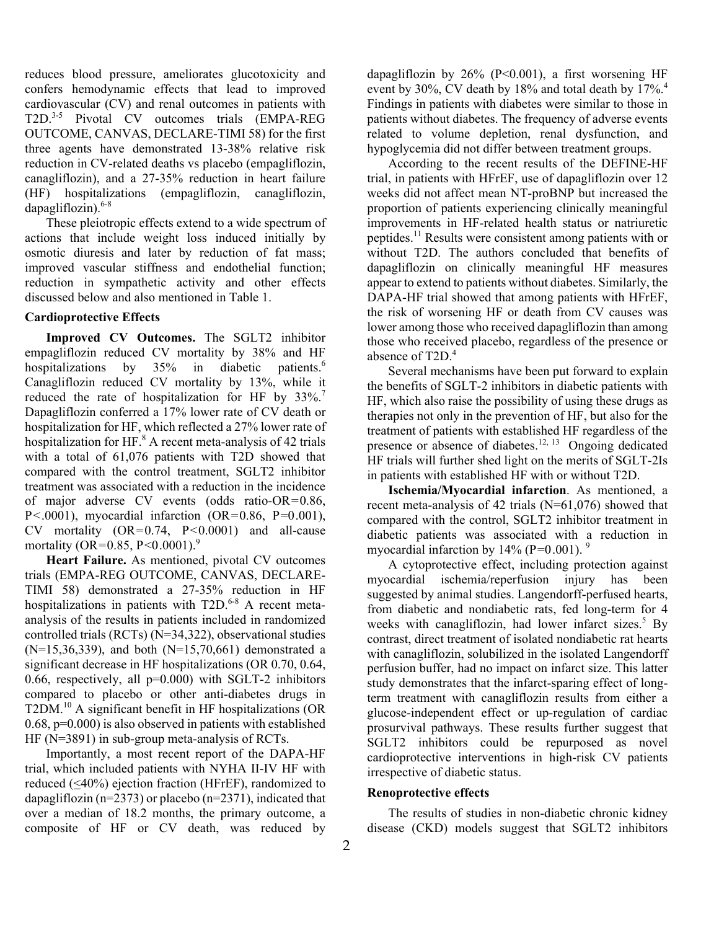reduces blood pressure, ameliorates glucotoxicity and confers hemodynamic effects that lead to improved cardiovascular (CV) and renal outcomes in patients with T2D.3-5 Pivotal CV outcomes trials (EMPA-REG OUTCOME, CANVAS, DECLARE-TIMI 58) for the first three agents have demonstrated 13-38% relative risk reduction in CV-related deaths vs placebo (empagliflozin, canagliflozin), and a 27-35% reduction in heart failure (HF) hospitalizations (empagliflozin, canagliflozin, dapagliflozin).<sup>6-8</sup>

These pleiotropic effects extend to a wide spectrum of actions that include weight loss induced initially by osmotic diuresis and later by reduction of fat mass; improved vascular stiffness and endothelial function; reduction in sympathetic activity and other effects discussed below and also mentioned in Table 1.

## **Cardioprotective Effects**

**Improved CV Outcomes.** The SGLT2 inhibitor empagliflozin reduced CV mortality by 38% and HF hospitalizations by 35% in diabetic patients.<sup>6</sup> Canagliflozin reduced CV mortality by 13%, while it reduced the rate of hospitalization for HF by 33%.<sup>7</sup> Dapagliflozin conferred a 17% lower rate of CV death or hospitalization for HF, which reflected a 27% lower rate of hospitalization for HF. $^8$  A recent meta-analysis of 42 trials with a total of 61,076 patients with T2D showed that compared with the control treatment, SGLT2 inhibitor treatment was associated with a reduction in the incidence of major adverse CV events (odds ratio-OR=0.86, P <. 0001), myocardial infarction (OR =  $0.86$ , P =  $0.001$ ),  $CV$  mortality  $(OR=0.74, P<0.0001)$  and all-cause mortality (OR=0.85, P<0.0001).<sup>9</sup>

**Heart Failure.** As mentioned, pivotal CV outcomes trials (EMPA-REG OUTCOME, CANVAS, DECLARE-TIMI 58) demonstrated a 27-35% reduction in HF hospitalizations in patients with  $T2D<sup>6-8</sup>$  A recent metaanalysis of the results in patients included in randomized controlled trials (RCTs) (N=34,322), observational studies  $(N=15,36,339)$ , and both  $(N=15,70,661)$  demonstrated a significant decrease in HF hospitalizations (OR 0.70, 0.64, 0.66, respectively, all  $p=0.000$ ) with SGLT-2 inhibitors compared to placebo or other anti-diabetes drugs in T2DM.10 A significant benefit in HF hospitalizations (OR 0.68, p=0.000) is also observed in patients with established HF (N=3891) in sub-group meta-analysis of RCTs.

Importantly, a most recent report of the DAPA-HF trial, which included patients with NYHA II-IV HF with reduced (<40%) ejection fraction (HFrEF), randomized to dapagliflozin ( $n=2373$ ) or placebo ( $n=2371$ ), indicated that over a median of 18.2 months, the primary outcome, a composite of HF or CV death, was reduced by

dapagliflozin by  $26\%$  (P<0.001), a first worsening HF event by 30%, CV death by 18% and total death by 17%.<sup>4</sup> Findings in patients with diabetes were similar to those in patients without diabetes. The frequency of adverse events related to volume depletion, renal dysfunction, and hypoglycemia did not differ between treatment groups.

According to the recent results of the DEFINE-HF trial, in patients with HFrEF, use of dapagliflozin over 12 weeks did not affect mean NT-proBNP but increased the proportion of patients experiencing clinically meaningful improvements in HF-related health status or natriuretic peptides.11 Results were consistent among patients with or without T2D. The authors concluded that benefits of dapagliflozin on clinically meaningful HF measures appear to extend to patients without diabetes. Similarly, the DAPA-HF trial showed that among patients with HFrEF, the risk of worsening HF or death from CV causes was lower among those who received dapagliflozin than among those who received placebo, regardless of the presence or absence of T2D.<sup>4</sup>

Several mechanisms have been put forward to explain the benefits of SGLT-2 inhibitors in diabetic patients with HF, which also raise the possibility of using these drugs as therapies not only in the prevention of HF, but also for the treatment of patients with established HF regardless of the presence or absence of diabetes.<sup>12, 13</sup> Ongoing dedicated HF trials will further shed light on the merits of SGLT-2Is in patients with established HF with or without T2D.

**Ischemia/Myocardial infarction**. As mentioned, a recent meta-analysis of 42 trials (N=61,076) showed that compared with the control, SGLT2 inhibitor treatment in diabetic patients was associated with a reduction in myocardial infarction by 14% (P= $0.001$ ). <sup>9</sup>

A cytoprotective effect, including protection against myocardial ischemia/reperfusion injury has been suggested by animal studies. Langendorff-perfused hearts, from diabetic and nondiabetic rats, fed long-term for 4 weeks with canagliflozin, had lower infarct sizes.<sup>5</sup> By contrast, direct treatment of isolated nondiabetic rat hearts with canagliflozin, solubilized in the isolated Langendorff perfusion buffer, had no impact on infarct size. This latter study demonstrates that the infarct-sparing effect of longterm treatment with canagliflozin results from either a glucose-independent effect or up-regulation of cardiac prosurvival pathways. These results further suggest that SGLT2 inhibitors could be repurposed as novel cardioprotective interventions in high-risk CV patients irrespective of diabetic status.

## **Renoprotective effects**

The results of studies in non-diabetic chronic kidney disease (CKD) models suggest that SGLT2 inhibitors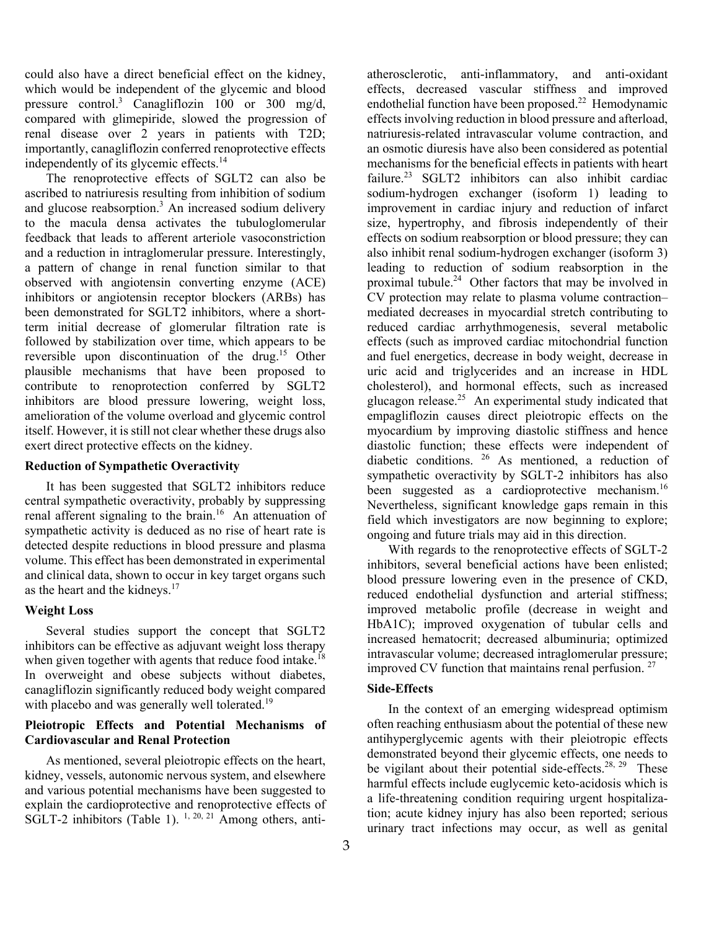could also have a direct beneficial effect on the kidney, which would be independent of the glycemic and blood pressure control.<sup>3</sup> Canagliflozin 100 or 300 mg/d, compared with glimepiride, slowed the progression of renal disease over 2 years in patients with T2D; importantly, canagliflozin conferred renoprotective effects independently of its glycemic effects.<sup>14</sup>

The renoprotective effects of SGLT2 can also be ascribed to natriuresis resulting from inhibition of sodium and glucose reabsorption.<sup>3</sup> An increased sodium delivery to the macula densa activates the tubuloglomerular feedback that leads to afferent arteriole vasoconstriction and a reduction in intraglomerular pressure. Interestingly, a pattern of change in renal function similar to that observed with angiotensin converting enzyme (ACE) inhibitors or angiotensin receptor blockers (ARBs) has been demonstrated for SGLT2 inhibitors, where a shortterm initial decrease of glomerular filtration rate is followed by stabilization over time, which appears to be reversible upon discontinuation of the drug.15 Other plausible mechanisms that have been proposed to contribute to renoprotection conferred by SGLT2 inhibitors are blood pressure lowering, weight loss, amelioration of the volume overload and glycemic control itself. However, it is still not clear whether these drugs also exert direct protective effects on the kidney.

## **Reduction of Sympathetic Overactivity**

It has been suggested that SGLT2 inhibitors reduce central sympathetic overactivity, probably by suppressing renal afferent signaling to the brain.<sup>16</sup> An attenuation of sympathetic activity is deduced as no rise of heart rate is detected despite reductions in blood pressure and plasma volume. This effect has been demonstrated in experimental and clinical data, shown to occur in key target organs such as the heart and the kidneys. $17$ 

## **Weight Loss**

Several studies support the concept that SGLT2 inhibitors can be effective as adjuvant weight loss therapy when given together with agents that reduce food intake.<sup>18</sup> In overweight and obese subjects without diabetes, canagliflozin significantly reduced body weight compared with placebo and was generally well tolerated.<sup>19</sup>

## **Pleiotropic Effects and Potential Mechanisms of Cardiovascular and Renal Protection**

 As mentioned, several pleiotropic effects on the heart, kidney, vessels, autonomic nervous system, and elsewhere and various potential mechanisms have been suggested to explain the cardioprotective and renoprotective effects of SGLT-2 inhibitors (Table 1).  $^{1, 20, 21}$  Among others, antiatherosclerotic, anti-inflammatory, and anti-oxidant effects, decreased vascular stiffness and improved endothelial function have been proposed.<sup>22</sup> Hemodynamic effects involving reduction in blood pressure and afterload, natriuresis-related intravascular volume contraction, and an osmotic diuresis have also been considered as potential mechanisms for the beneficial effects in patients with heart failure.<sup>23</sup> SGLT2 inhibitors can also inhibit cardiac sodium-hydrogen exchanger (isoform 1) leading to improvement in cardiac injury and reduction of infarct size, hypertrophy, and fibrosis independently of their effects on sodium reabsorption or blood pressure; they can also inhibit renal sodium-hydrogen exchanger (isoform 3) leading to reduction of sodium reabsorption in the proximal tubule.24 Other factors that may be involved in CV protection may relate to plasma volume contraction– mediated decreases in myocardial stretch contributing to reduced cardiac arrhythmogenesis, several metabolic effects (such as improved cardiac mitochondrial function and fuel energetics, decrease in body weight, decrease in uric acid and triglycerides and an increase in HDL cholesterol), and hormonal effects, such as increased glucagon release.<sup>25</sup> An experimental study indicated that empagliflozin causes direct pleiotropic effects on the myocardium by improving diastolic stiffness and hence diastolic function; these effects were independent of diabetic conditions. 26 As mentioned, a reduction of sympathetic overactivity by SGLT-2 inhibitors has also been suggested as a cardioprotective mechanism.<sup>16</sup> Nevertheless, significant knowledge gaps remain in this field which investigators are now beginning to explore; ongoing and future trials may aid in this direction.

 With regards to the renoprotective effects of SGLT-2 inhibitors, several beneficial actions have been enlisted; blood pressure lowering even in the presence of CKD, reduced endothelial dysfunction and arterial stiffness; improved metabolic profile (decrease in weight and HbA1C); improved oxygenation of tubular cells and increased hematocrit; decreased albuminuria; optimized intravascular volume; decreased intraglomerular pressure; improved CV function that maintains renal perfusion. 27

## **Side-Effects**

In the context of an emerging widespread optimism often reaching enthusiasm about the potential of these new antihyperglycemic agents with their pleiotropic effects demonstrated beyond their glycemic effects, one needs to be vigilant about their potential side-effects.<sup>28, 29</sup> These harmful effects include euglycemic keto-acidosis which is a life-threatening condition requiring urgent hospitalization; acute kidney injury has also been reported; serious urinary tract infections may occur, as well as genital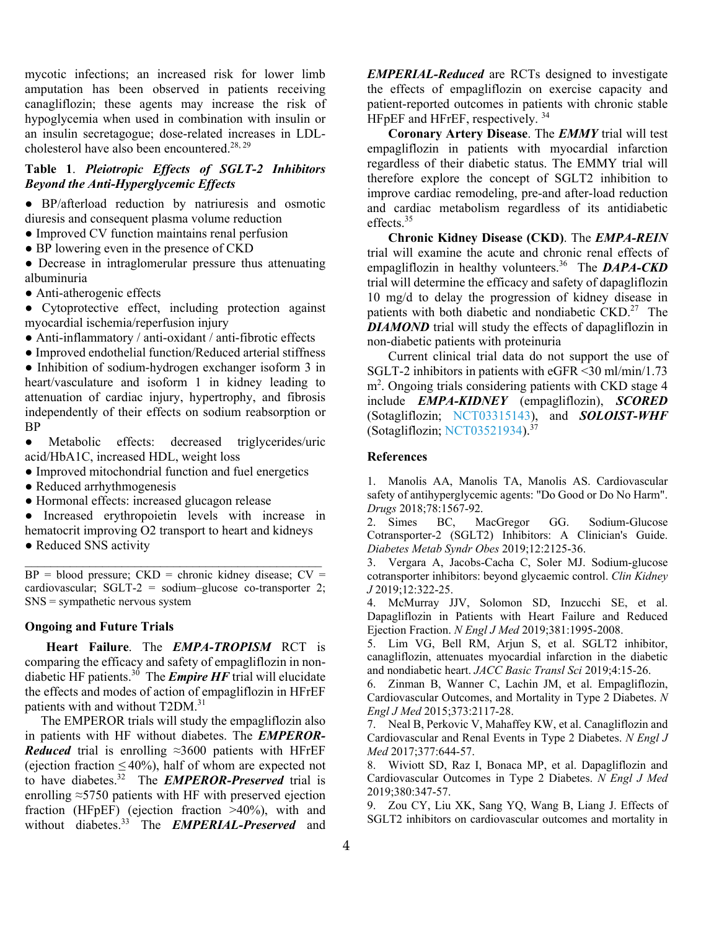mycotic infections; an increased risk for lower limb amputation has been observed in patients receiving canagliflozin; these agents may increase the risk of hypoglycemia when used in combination with insulin or an insulin secretagogue; dose-related increases in LDLcholesterol have also been encountered.<sup>28, 29</sup>

# **Table 1**. *Pleiotropic Effects of SGLT-2 Inhibitors Beyond the Anti-Hyperglycemic Effects*

● BP/afterload reduction by natriuresis and osmotic diuresis and consequent plasma volume reduction

- Improved CV function maintains renal perfusion
- BP lowering even in the presence of CKD

• Decrease in intraglomerular pressure thus attenuating albuminuria

• Anti-atherogenic effects

● Cytoprotective effect, including protection against myocardial ischemia/reperfusion injury

● Anti-inflammatory / anti-oxidant / anti-fibrotic effects

● Improved endothelial function/Reduced arterial stiffness

● Inhibition of sodium-hydrogen exchanger isoform 3 in heart/vasculature and isoform 1 in kidney leading to attenuation of cardiac injury, hypertrophy, and fibrosis independently of their effects on sodium reabsorption or BP

● Metabolic effects: decreased triglycerides/uric acid/HbA1C, increased HDL, weight loss

● Improved mitochondrial function and fuel energetics

- Reduced arrhythmogenesis
- Hormonal effects: increased glucagon release

● Increased erythropoietin levels with increase in hematocrit improving O2 transport to heart and kidneys

• Reduced SNS activity

 $BP = blood pressure$ ;  $CKD = chronic kidney disease$ ;  $CV =$ cardiovascular; SGLT-2 = sodium–glucose co-transporter 2; SNS = sympathetic nervous system

\_\_\_\_\_\_\_\_\_\_\_\_\_\_\_\_\_\_\_\_\_\_\_\_\_\_\_\_\_\_\_\_\_\_\_\_\_\_\_\_\_\_\_\_\_\_

## **Ongoing and Future Trials**

**Heart Failure**. The *EMPA-TROPISM* RCT is comparing the efficacy and safety of empagliflozin in nondiabetic HF patients.30 The *Empire HF* trial will elucidate the effects and modes of action of empagliflozin in HFrEF patients with and without T2DM.<sup>31</sup>

The EMPEROR trials will study the empagliflozin also in patients with HF without diabetes. The *EMPEROR-Reduced* trial is enrolling ≈3600 patients with HFrEF (ejection fraction  $\leq 40\%$ ), half of whom are expected not to have diabetes.32 The *EMPEROR-Preserved* trial is enrolling ≈5750 patients with HF with preserved ejection fraction (HFpEF) (ejection fraction >40%), with and without diabetes.33 The *EMPERIAL-Preserved* and *EMPERIAL-Reduced* are RCTs designed to investigate the effects of empagliflozin on exercise capacity and patient-reported outcomes in patients with chronic stable HFpEF and HFrEF, respectively. 34

**Coronary Artery Disease**. The *EMMY* trial will test empagliflozin in patients with myocardial infarction regardless of their diabetic status. The EMMY trial will therefore explore the concept of SGLT2 inhibition to improve cardiac remodeling, pre-and after-load reduction and cardiac metabolism regardless of its antidiabetic effects.35

**Chronic Kidney Disease (CKD)**. The *EMPA-REIN* trial will examine the acute and chronic renal effects of empagliflozin in healthy volunteers.<sup>36</sup> The *DAPA-CKD* trial will determine the efficacy and safety of dapagliflozin 10 mg/d to delay the progression of kidney disease in patients with both diabetic and nondiabetic CKD.<sup>27</sup> The *DIAMOND* trial will study the effects of dapagliflozin in non-diabetic patients with proteinuria

Current clinical trial data do not support the use of SGLT-2 inhibitors in patients with eGFR <30 ml/min/1.73 m<sup>2</sup>. Ongoing trials considering patients with CKD stage 4 include *EMPA-KIDNEY* (empagliflozin), *SCORED* (Sotagliflozin; NCT03315143), and *SOLOIST-WHF* (Sotagliflozin; NCT03521934).37

#### **References**

1. Manolis AA, Manolis TA, Manolis AS. Cardiovascular safety of antihyperglycemic agents: "Do Good or Do No Harm". *Drugs* 2018;78:1567-92.

2. Simes BC, MacGregor GG. Sodium-Glucose Cotransporter-2 (SGLT2) Inhibitors: A Clinician's Guide. *Diabetes Metab Syndr Obes* 2019;12:2125-36.

3. Vergara A, Jacobs-Cacha C, Soler MJ. Sodium-glucose cotransporter inhibitors: beyond glycaemic control. *Clin Kidney J* 2019;12:322-25.

4. McMurray JJV, Solomon SD, Inzucchi SE, et al. Dapagliflozin in Patients with Heart Failure and Reduced Ejection Fraction. *N Engl J Med* 2019;381:1995-2008.

5. Lim VG, Bell RM, Arjun S, et al. SGLT2 inhibitor, canagliflozin, attenuates myocardial infarction in the diabetic and nondiabetic heart. *JACC Basic Transl Sci* 2019;4:15-26.

6. Zinman B, Wanner C, Lachin JM, et al. Empagliflozin, Cardiovascular Outcomes, and Mortality in Type 2 Diabetes. *N Engl J Med* 2015;373:2117-28.

7. Neal B, Perkovic V, Mahaffey KW, et al. Canagliflozin and Cardiovascular and Renal Events in Type 2 Diabetes. *N Engl J Med* 2017;377:644-57.

8. Wiviott SD, Raz I, Bonaca MP, et al. Dapagliflozin and Cardiovascular Outcomes in Type 2 Diabetes. *N Engl J Med* 2019;380:347-57.

9. Zou CY, Liu XK, Sang YQ, Wang B, Liang J. Effects of SGLT2 inhibitors on cardiovascular outcomes and mortality in